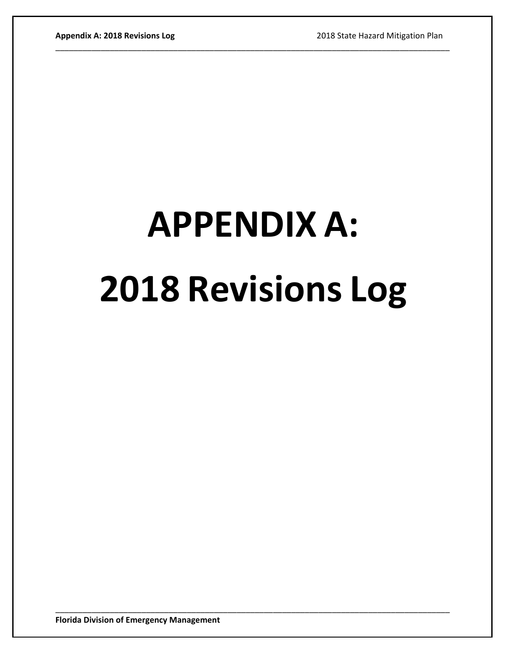## **APPENDIX A: 2018 Revisions Log**

\_\_\_\_\_\_\_\_\_\_\_\_\_\_\_\_\_\_\_\_\_\_\_\_\_\_\_\_\_\_\_\_\_\_\_\_\_\_\_\_\_\_\_\_\_\_\_\_\_\_\_\_\_\_\_\_\_\_\_\_\_\_\_\_\_\_\_\_\_\_\_\_\_\_\_\_\_\_\_\_\_\_\_\_\_\_\_

\_\_\_\_\_\_\_\_\_\_\_\_\_\_\_\_\_\_\_\_\_\_\_\_\_\_\_\_\_\_\_\_\_\_\_\_\_\_\_\_\_\_\_\_\_\_\_\_\_\_\_\_\_\_\_\_\_\_\_\_\_\_\_\_\_\_\_\_\_\_\_\_\_\_\_\_\_\_\_\_\_\_\_\_\_\_\_

**Florida Division of Emergency Management**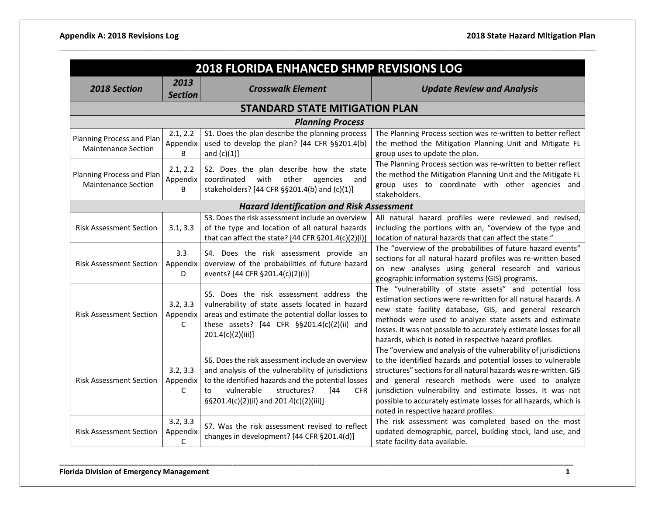| <b>2018 FLORIDA ENHANCED SHMP REVISIONS LOG</b>         |                           |                                                                                                                                                                                                                                                                 |                                                                                                                                                                                                                                                                                                                                                                                                                                     |  |
|---------------------------------------------------------|---------------------------|-----------------------------------------------------------------------------------------------------------------------------------------------------------------------------------------------------------------------------------------------------------------|-------------------------------------------------------------------------------------------------------------------------------------------------------------------------------------------------------------------------------------------------------------------------------------------------------------------------------------------------------------------------------------------------------------------------------------|--|
| 2018 Section                                            | 2013<br><b>Section</b>    | <b>Crosswalk Element</b>                                                                                                                                                                                                                                        | <b>Update Review and Analysis</b>                                                                                                                                                                                                                                                                                                                                                                                                   |  |
|                                                         |                           | <b>STANDARD STATE MITIGATION PLAN</b>                                                                                                                                                                                                                           |                                                                                                                                                                                                                                                                                                                                                                                                                                     |  |
|                                                         | <b>Planning Process</b>   |                                                                                                                                                                                                                                                                 |                                                                                                                                                                                                                                                                                                                                                                                                                                     |  |
| Planning Process and Plan<br><b>Maintenance Section</b> | 2.1, 2.2<br>Appendix<br>B | S1. Does the plan describe the planning process<br>used to develop the plan? [44 CFR §§201.4(b)<br>and $(c)(1)]$                                                                                                                                                | The Planning Process section was re-written to better reflect<br>the method the Mitigation Planning Unit and Mitigate FL<br>group uses to update the plan.                                                                                                                                                                                                                                                                          |  |
| Planning Process and Plan<br><b>Maintenance Section</b> | 2.1, 2.2<br>Appendix<br>B | S2. Does the plan describe how the state<br>coordinated<br>with<br>other<br>agencies<br>and<br>stakeholders? [44 CFR §§201.4(b) and (c)(1)]                                                                                                                     | The Planning Process section was re-written to better reflect<br>the method the Mitigation Planning Unit and the Mitigate FL<br>group uses to coordinate with other agencies and<br>stakeholders.                                                                                                                                                                                                                                   |  |
|                                                         |                           | <b>Hazard Identification and Risk Assessment</b>                                                                                                                                                                                                                |                                                                                                                                                                                                                                                                                                                                                                                                                                     |  |
| <b>Risk Assessment Section</b>                          | 3.1, 3.3                  | S3. Does the risk assessment include an overview<br>of the type and location of all natural hazards<br>that can affect the state? [44 CFR §201.4(c)(2)(i)]                                                                                                      | All natural hazard profiles were reviewed and revised,<br>including the portions with an, "overview of the type and<br>location of natural hazards that can affect the state."                                                                                                                                                                                                                                                      |  |
| <b>Risk Assessment Section</b>                          | 3.3<br>Appendix<br>D      | S4. Does the risk assessment provide an<br>overview of the probabilities of future hazard<br>events? [44 CFR §201.4(c)(2)(i)]                                                                                                                                   | The "overview of the probabilities of future hazard events"<br>sections for all natural hazard profiles was re-written based<br>on new analyses using general research and various<br>geographic information systems (GIS) programs.                                                                                                                                                                                                |  |
| <b>Risk Assessment Section</b>                          | 3.2, 3.3<br>Appendix<br>C | S5. Does the risk assessment address the<br>vulnerability of state assets located in hazard<br>areas and estimate the potential dollar losses to<br>these assets? [44 CFR §§201.4(c)(2)(ii) and<br>201.4(c)(2)(iii)]                                            | The "vulnerability of state assets" and potential loss<br>estimation sections were re-written for all natural hazards. A<br>new state facility database, GIS, and general research<br>methods were used to analyze state assets and estimate<br>losses. It was not possible to accurately estimate losses for all<br>hazards, which is noted in respective hazard profiles.                                                         |  |
| <b>Risk Assessment Section</b>                          | 3.2, 3.3<br>Appendix<br>C | S6. Does the risk assessment include an overview<br>and analysis of the vulnerability of jurisdictions<br>to the identified hazards and the potential losses<br>vulnerable<br>structures?<br>[44<br>to<br><b>CFR</b><br>§§201.4(c)(2)(ii) and 201.4(c)(2)(iii)] | The "overview and analysis of the vulnerability of jurisdictions<br>to the identified hazards and potential losses to vulnerable<br>structures" sections for all natural hazards was re-written. GIS<br>and general research methods were used to analyze<br>jurisdiction vulnerability and estimate losses. It was not<br>possible to accurately estimate losses for all hazards, which is<br>noted in respective hazard profiles. |  |
| <b>Risk Assessment Section</b>                          | 3.2, 3.3<br>Appendix<br>C | S7. Was the risk assessment revised to reflect<br>changes in development? [44 CFR §201.4(d)]                                                                                                                                                                    | The risk assessment was completed based on the most<br>updated demographic, parcel, building stock, land use, and<br>state facility data available.                                                                                                                                                                                                                                                                                 |  |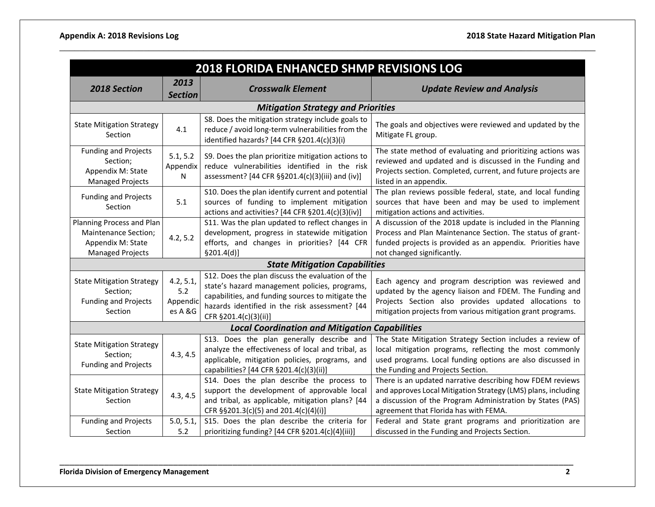| <b>2018 FLORIDA ENHANCED SHMP REVISIONS LOG</b>                                                   |                                         |                                                                                                                                                                                                                                   |                                                                                                                                                                                                                                         |
|---------------------------------------------------------------------------------------------------|-----------------------------------------|-----------------------------------------------------------------------------------------------------------------------------------------------------------------------------------------------------------------------------------|-----------------------------------------------------------------------------------------------------------------------------------------------------------------------------------------------------------------------------------------|
| 2018 Section                                                                                      | 2013<br><b>Section</b>                  | <b>Crosswalk Element</b>                                                                                                                                                                                                          | <b>Update Review and Analysis</b>                                                                                                                                                                                                       |
|                                                                                                   |                                         | <b>Mitigation Strategy and Priorities</b>                                                                                                                                                                                         |                                                                                                                                                                                                                                         |
| <b>State Mitigation Strategy</b><br>Section                                                       | 4.1                                     | S8. Does the mitigation strategy include goals to<br>reduce / avoid long-term vulnerabilities from the<br>identified hazards? [44 CFR §201.4(c)(3)(i)                                                                             | The goals and objectives were reviewed and updated by the<br>Mitigate FL group.                                                                                                                                                         |
| <b>Funding and Projects</b><br>Section;<br>Appendix M: State<br><b>Managed Projects</b>           | 5.1, 5.2<br>Appendix<br>N               | S9. Does the plan prioritize mitigation actions to<br>reduce vulnerabilities identified in the risk<br>assessment? [44 CFR §§201.4(c)(3)(iii) and (iv)]                                                                           | The state method of evaluating and prioritizing actions was<br>reviewed and updated and is discussed in the Funding and<br>Projects section. Completed, current, and future projects are<br>listed in an appendix.                      |
| <b>Funding and Projects</b><br>Section                                                            | 5.1                                     | S10. Does the plan identify current and potential<br>sources of funding to implement mitigation<br>actions and activities? [44 CFR §201.4(c)(3)(iv)]                                                                              | The plan reviews possible federal, state, and local funding<br>sources that have been and may be used to implement<br>mitigation actions and activities.                                                                                |
| Planning Process and Plan<br>Maintenance Section;<br>Appendix M: State<br><b>Managed Projects</b> | 4.2, 5.2                                | S11. Was the plan updated to reflect changes in<br>development, progress in statewide mitigation<br>efforts, and changes in priorities? [44 CFR<br>\$201.4(d)]                                                                    | A discussion of the 2018 update is included in the Planning<br>Process and Plan Maintenance Section. The status of grant-<br>funded projects is provided as an appendix. Priorities have<br>not changed significantly.                  |
|                                                                                                   |                                         | <b>State Mitigation Capabilities</b>                                                                                                                                                                                              |                                                                                                                                                                                                                                         |
| <b>State Mitigation Strategy</b><br>Section;<br><b>Funding and Projects</b><br>Section            | 4.2, 5.1,<br>5.2<br>Appendic<br>es A &G | S12. Does the plan discuss the evaluation of the<br>state's hazard management policies, programs,<br>capabilities, and funding sources to mitigate the<br>hazards identified in the risk assessment? [44<br>CFR §201.4(c)(3)(ii)] | Each agency and program description was reviewed and<br>updated by the agency liaison and FDEM. The Funding and<br>Projects Section also provides updated allocations to<br>mitigation projects from various mitigation grant programs. |
|                                                                                                   |                                         | <b>Local Coordination and Mitigation Capabilities</b>                                                                                                                                                                             |                                                                                                                                                                                                                                         |
| <b>State Mitigation Strategy</b><br>Section;<br><b>Funding and Projects</b>                       | 4.3, 4.5                                | S13. Does the plan generally describe and<br>analyze the effectiveness of local and tribal, as<br>applicable, mitigation policies, programs, and<br>capabilities? [44 CFR §201.4(c)(3)(ii)]                                       | The State Mitigation Strategy Section includes a review of<br>local mitigation programs, reflecting the most commonly<br>used programs. Local funding options are also discussed in<br>the Funding and Projects Section.                |
| <b>State Mitigation Strategy</b><br>Section                                                       | 4.3, 4.5                                | S14. Does the plan describe the process to<br>support the development of approvable local<br>and tribal, as applicable, mitigation plans? [44<br>CFR §§201.3(c)(5) and 201.4(c)(4)(i)]                                            | There is an updated narrative describing how FDEM reviews<br>and approves Local Mitigation Strategy (LMS) plans, including<br>a discussion of the Program Administration by States (PAS)<br>agreement that Florida has with FEMA.       |
| <b>Funding and Projects</b><br>Section                                                            | 5.0, 5.1,<br>5.2                        | S15. Does the plan describe the criteria for<br>prioritizing funding? [44 CFR §201.4(c)(4)(iii)]                                                                                                                                  | Federal and State grant programs and prioritization are<br>discussed in the Funding and Projects Section.                                                                                                                               |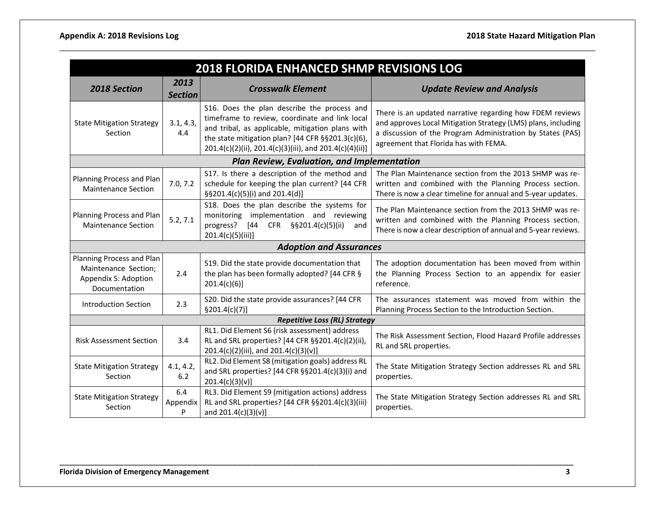| <b>2018 FLORIDA ENHANCED SHMP REVISIONS LOG</b>                                            |                        |                                                                                                                                                                                                                                                                   |                                                                                                                                                                                                                                  |
|--------------------------------------------------------------------------------------------|------------------------|-------------------------------------------------------------------------------------------------------------------------------------------------------------------------------------------------------------------------------------------------------------------|----------------------------------------------------------------------------------------------------------------------------------------------------------------------------------------------------------------------------------|
| 2018 Section                                                                               | 2013<br><b>Section</b> | <b>Crosswalk Element</b>                                                                                                                                                                                                                                          | <b>Update Review and Analysis</b>                                                                                                                                                                                                |
| <b>State Mitigation Strategy</b><br>Section                                                | 3.1, 4.3,<br>4.4       | S16. Does the plan describe the process and<br>timeframe to review, coordinate and link local<br>and tribal, as applicable, mitigation plans with<br>the state mitigation plan? [44 CFR §§201.3(c)(6),<br>201.4(c)(2)(ii), 201.4(c)(3)(iii), and 201.4(c)(4)(ii)] | There is an updated narrative regarding how FDEM reviews<br>and approves Local Mitigation Strategy (LMS) plans, including<br>a discussion of the Program Administration by States (PAS)<br>agreement that Florida has with FEMA. |
|                                                                                            |                        | <b>Plan Review, Evaluation, and Implementation</b>                                                                                                                                                                                                                |                                                                                                                                                                                                                                  |
| Planning Process and Plan<br><b>Maintenance Section</b>                                    | 7.0, 7.2               | S17. Is there a description of the method and<br>schedule for keeping the plan current? [44 CFR<br>§§201.4(c)(5)(i) and 201.4(d)]                                                                                                                                 | The Plan Maintenance section from the 2013 SHMP was re-<br>written and combined with the Planning Process section.<br>There is now a clear timeline for annual and 5-year updates.                                               |
| Planning Process and Plan<br><b>Maintenance Section</b>                                    | 5.2, 7.1               | S18. Does the plan describe the systems for<br>monitoring implementation and reviewing<br>progress? [44 CFR §§201.4(c)(5)(ii)<br>and<br>201.4(c)(5)(iii)]                                                                                                         | The Plan Maintenance section from the 2013 SHMP was re-<br>written and combined with the Planning Process section.<br>There is now a clear description of annual and 5-year reviews.                                             |
|                                                                                            |                        | <b>Adoption and Assurances</b>                                                                                                                                                                                                                                    |                                                                                                                                                                                                                                  |
| Planning Process and Plan<br>Maintenance Section;<br>Appendix S: Adoption<br>Documentation | 2.4                    | S19. Did the state provide documentation that<br>the plan has been formally adopted? [44 CFR §<br>201.4(c)(6)]                                                                                                                                                    | The adoption documentation has been moved from within<br>the Planning Process Section to an appendix for easier<br>reference.                                                                                                    |
| <b>Introduction Section</b>                                                                | 2.3                    | S20. Did the state provide assurances? [44 CFR<br>§201.4(c)(7)]                                                                                                                                                                                                   | The assurances statement was moved from within the<br>Planning Process Section to the Introduction Section.                                                                                                                      |
|                                                                                            |                        | <b>Repetitive Loss (RL) Strategy</b>                                                                                                                                                                                                                              |                                                                                                                                                                                                                                  |
| <b>Risk Assessment Section</b>                                                             | 3.4                    | RL1. Did Element S6 (risk assessment) address<br>RL and SRL properties? [44 CFR §§201.4(c)(2)(ii),<br>201.4(c)(2)(iii), and 201.4(c)(3)(v)]                                                                                                                       | The Risk Assessment Section, Flood Hazard Profile addresses<br>RL and SRL properties.                                                                                                                                            |
| <b>State Mitigation Strategy</b><br>Section                                                | 4.1, 4.2,<br>$6.2$     | RL2. Did Element S8 (mitigation goals) address RL<br>and SRL properties? [44 CFR §§201.4(c)(3)(i) and<br>201.4(c)(3)(v)]                                                                                                                                          | The State Mitigation Strategy Section addresses RL and SRL<br>properties.                                                                                                                                                        |
| <b>State Mitigation Strategy</b><br>Section                                                | 6.4<br>Appendix<br>P   | RL3. Did Element S9 (mitigation actions) address<br>RL and SRL properties? [44 CFR §§201.4(c)(3)(iii)<br>and 201.4(c)(3)(v)]                                                                                                                                      | The State Mitigation Strategy Section addresses RL and SRL<br>properties.                                                                                                                                                        |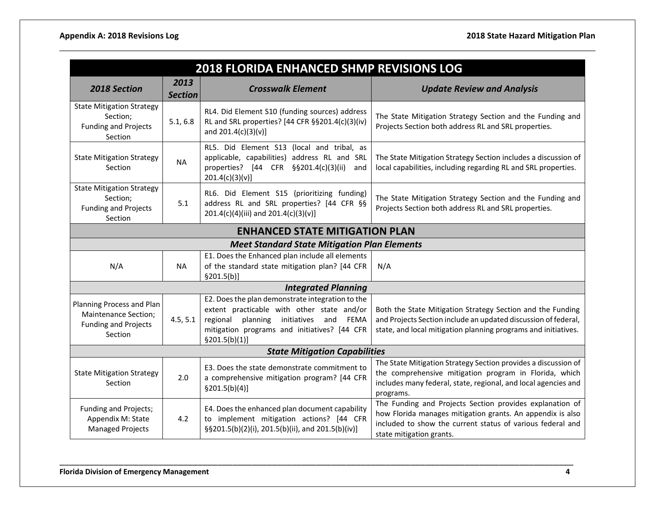| <b>2018 FLORIDA ENHANCED SHMP REVISIONS LOG</b>                                                    |                        |                                                                                                                                                                                                                    |                                                                                                                                                                                                                  |
|----------------------------------------------------------------------------------------------------|------------------------|--------------------------------------------------------------------------------------------------------------------------------------------------------------------------------------------------------------------|------------------------------------------------------------------------------------------------------------------------------------------------------------------------------------------------------------------|
| 2018 Section                                                                                       | 2013<br><b>Section</b> | <b>Crosswalk Element</b>                                                                                                                                                                                           | <b>Update Review and Analysis</b>                                                                                                                                                                                |
| <b>State Mitigation Strategy</b><br>Section;<br><b>Funding and Projects</b><br>Section             | 5.1, 6.8               | RL4. Did Element S10 (funding sources) address<br>RL and SRL properties? [44 CFR §§201.4(c)(3)(iv)<br>and $201.4(c)(3)(v)$ ]                                                                                       | The State Mitigation Strategy Section and the Funding and<br>Projects Section both address RL and SRL properties.                                                                                                |
| <b>State Mitigation Strategy</b><br>Section                                                        | <b>NA</b>              | RL5. Did Element S13 (local and tribal, as<br>applicable, capabilities) address RL and SRL<br>properties? [44 CFR §§201.4(c)(3)(ii)<br>and<br>201.4(c)(3)(v)]                                                      | The State Mitigation Strategy Section includes a discussion of<br>local capabilities, including regarding RL and SRL properties.                                                                                 |
| <b>State Mitigation Strategy</b><br>Section;<br><b>Funding and Projects</b><br>Section             | 5.1                    | RL6. Did Element S15 (prioritizing funding)<br>address RL and SRL properties? [44 CFR §§<br>201.4(c)(4)(iii) and 201.4(c)(3)(v)]                                                                                   | The State Mitigation Strategy Section and the Funding and<br>Projects Section both address RL and SRL properties.                                                                                                |
|                                                                                                    |                        | <b>ENHANCED STATE MITIGATION PLAN</b>                                                                                                                                                                              |                                                                                                                                                                                                                  |
|                                                                                                    |                        | <b>Meet Standard State Mitigation Plan Elements</b>                                                                                                                                                                |                                                                                                                                                                                                                  |
| N/A                                                                                                | <b>NA</b>              | E1. Does the Enhanced plan include all elements<br>of the standard state mitigation plan? [44 CFR<br>§201.5(b)]                                                                                                    | N/A                                                                                                                                                                                                              |
|                                                                                                    |                        | <b>Integrated Planning</b>                                                                                                                                                                                         |                                                                                                                                                                                                                  |
| Planning Process and Plan<br><b>Maintenance Section;</b><br><b>Funding and Projects</b><br>Section | 4.5, 5.1               | E2. Does the plan demonstrate integration to the<br>extent practicable with other state and/or<br>regional<br>planning<br>initiatives<br>and FEMA<br>mitigation programs and initiatives? [44 CFR<br>§201.5(b)(1)] | Both the State Mitigation Strategy Section and the Funding<br>and Projects Section include an updated discussion of federal,<br>state, and local mitigation planning programs and initiatives.                   |
| <b>State Mitigation Capabilities</b>                                                               |                        |                                                                                                                                                                                                                    |                                                                                                                                                                                                                  |
| <b>State Mitigation Strategy</b><br>Section                                                        | 2.0                    | E3. Does the state demonstrate commitment to<br>a comprehensive mitigation program? [44 CFR<br>\$201.5(b)(4)]                                                                                                      | The State Mitigation Strategy Section provides a discussion of<br>the comprehensive mitigation program in Florida, which<br>includes many federal, state, regional, and local agencies and<br>programs.          |
| Funding and Projects;<br>Appendix M: State<br><b>Managed Projects</b>                              | 4.2                    | E4. Does the enhanced plan document capability<br>to implement mitigation actions? [44 CFR<br>§§201.5(b)(2)(i), 201.5(b)(ii), and 201.5(b)(iv)]                                                                    | The Funding and Projects Section provides explanation of<br>how Florida manages mitigation grants. An appendix is also<br>included to show the current status of various federal and<br>state mitigation grants. |